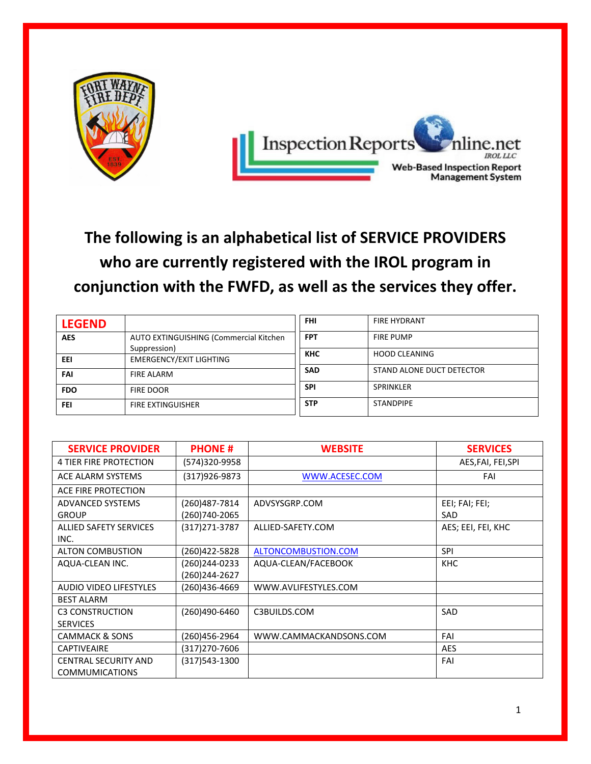

**The following is an alphabetical list of SERVICE PROVIDERS who are currently registered with the IROL program in conjunction with the FWFD, as well as the services they offer.**

| <b>LEGEND</b> |                                                | FHI        | <b>FIRE HYDRANT</b>       |
|---------------|------------------------------------------------|------------|---------------------------|
| <b>AES</b>    | AUTO EXTINGUISHING (Commercial Kitchen         | <b>FPT</b> | <b>FIRE PUMP</b>          |
| EEI           | Suppression)<br><b>EMERGENCY/EXIT LIGHTING</b> | <b>KHC</b> | <b>HOOD CLEANING</b>      |
| FAI           | <b>FIRE ALARM</b>                              | <b>SAD</b> | STAND ALONE DUCT DETECTOR |
| <b>FDO</b>    | <b>FIRE DOOR</b>                               | <b>SPI</b> | SPRINKLER                 |
| FEI           | <b>FIRE EXTINGUISHER</b>                       | <b>STP</b> | <b>STANDPIPE</b>          |

| <b>SERVICE PROVIDER</b>                              | <b>PHONE#</b>                  | <b>WEBSITE</b>         | <b>SERVICES</b>       |
|------------------------------------------------------|--------------------------------|------------------------|-----------------------|
| <b>4 TIER FIRE PROTECTION</b>                        | (574)320-9958                  |                        | AES, FAI, FEI, SPI    |
| ACE ALARM SYSTEMS                                    | (317)926-9873                  | WWW.ACESEC.COM         | FAI                   |
| ACE FIRE PROTECTION                                  |                                |                        |                       |
| ADVANCED SYSTEMS<br><b>GROUP</b>                     | (260)487-7814<br>(260)740-2065 | ADVSYSGRP.COM          | EEI; FAI; FEI;<br>SAD |
| ALLIED SAFETY SERVICES<br>INC.                       | (317) 271-3787                 | ALLIED-SAFETY.COM      | AES; EEI, FEI, KHC    |
| <b>ALTON COMBUSTION</b>                              | (260)422-5828                  | ALTONCOMBUSTION.COM    | <b>SPI</b>            |
| AQUA-CLEAN INC.                                      | (260)244-0233<br>(260)244-2627 | AQUA-CLEAN/FACEBOOK    | <b>KHC</b>            |
| AUDIO VIDEO LIFESTYLES                               | (260)436-4669                  | WWW.AVLIFESTYLES.COM   |                       |
| <b>BEST ALARM</b>                                    |                                |                        |                       |
| <b>C3 CONSTRUCTION</b><br><b>SERVICES</b>            | (260)490-6460                  | C3BUILDS.COM           | SAD                   |
| <b>CAMMACK &amp; SONS</b>                            | (260)456-2964                  | WWW.CAMMACKANDSONS.COM | FAI                   |
| <b>CAPTIVEAIRE</b>                                   | (317)270-7606                  |                        | <b>AES</b>            |
| <b>CENTRAL SECURITY AND</b><br><b>COMMUMICATIONS</b> | (317)543-1300                  |                        | FAI                   |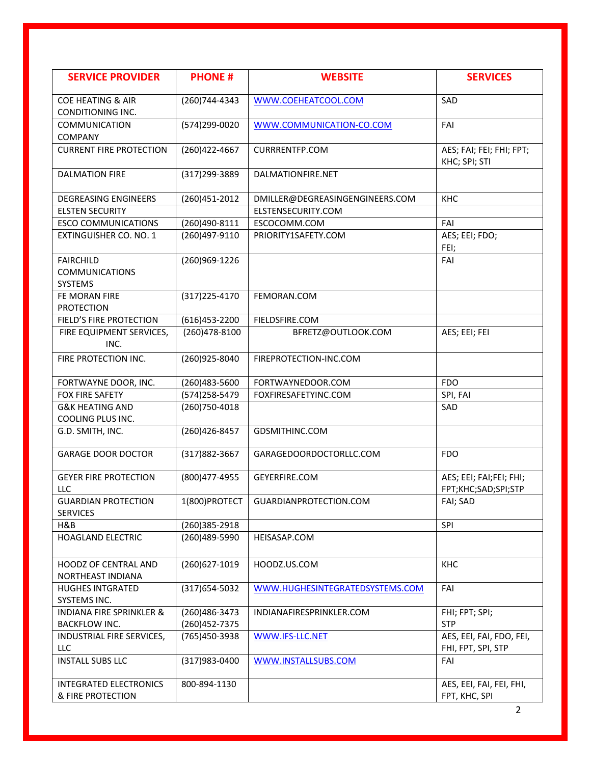| <b>SERVICE PROVIDER</b>                                     | <b>PHONE#</b>                  | <b>WEBSITE</b>                           | <b>SERVICES</b>                                |
|-------------------------------------------------------------|--------------------------------|------------------------------------------|------------------------------------------------|
| COE HEATING & AIR<br>CONDITIONING INC.                      | (260) 744-4343                 | WWW.COEHEATCOOL.COM                      | SAD                                            |
| <b>COMMUNICATION</b><br><b>COMPANY</b>                      | (574)299-0020                  | WWW.COMMUNICATION-CO.COM                 | FAI                                            |
| <b>CURRENT FIRE PROTECTION</b>                              | (260)422-4667                  | <b>CURRRENTFP.COM</b>                    | AES; FAI; FEI; FHI; FPT;<br>KHC; SPI; STI      |
| <b>DALMATION FIRE</b>                                       | (317) 299-3889                 | DALMATIONFIRE.NET                        |                                                |
| <b>DEGREASING ENGINEERS</b>                                 | (260)451-2012                  | DMILLER@DEGREASINGENGINEERS.COM          | KHC                                            |
| <b>ELSTEN SECURITY</b>                                      |                                | ELSTENSECURITY.COM                       |                                                |
| <b>ESCO COMMUNICATIONS</b>                                  | (260)490-8111                  | ESCOCOMM.COM                             | FAI                                            |
| <b>EXTINGUISHER CO. NO. 1</b>                               | (260)497-9110                  | PRIORITY1SAFETY.COM                      | AES; EEI; FDO;<br>FEI;                         |
| <b>FAIRCHILD</b><br><b>COMMUNICATIONS</b><br>SYSTEMS        | (260)969-1226                  |                                          | FAI                                            |
| FE MORAN FIRE<br><b>PROTECTION</b>                          | $(317)$ 225-4170               | FEMORAN.COM                              |                                                |
| FIELD'S FIRE PROTECTION                                     | (616)453-2200                  | FIELDSFIRE.COM                           |                                                |
| FIRE EQUIPMENT SERVICES,<br>INC.                            | (260)478-8100                  | BFRETZ@OUTLOOK.COM                       | AES; EEI; FEI                                  |
| FIRE PROTECTION INC.                                        | (260)925-8040                  | FIREPROTECTION-INC.COM                   |                                                |
| FORTWAYNE DOOR, INC.                                        | (260)483-5600                  | FORTWAYNEDOOR.COM                        | <b>FDO</b>                                     |
| FOX FIRE SAFETY                                             | (574) 258-5479                 | FOXFIRESAFETYINC.COM                     | SPI, FAI                                       |
| <b>G&amp;K HEATING AND</b><br>COOLING PLUS INC.             | (260) 750-4018                 |                                          | SAD                                            |
| G.D. SMITH, INC.                                            | (260)426-8457                  | GDSMITHINC.COM                           |                                                |
| <b>GARAGE DOOR DOCTOR</b>                                   | (317) 882-3667                 | GARAGEDOORDOCTORLLC.COM                  | <b>FDO</b>                                     |
| <b>GEYER FIRE PROTECTION</b><br>LLC                         | (800) 477-4955                 | GEYERFIRE.COM                            | AES; EEI; FAI;FEI; FHI;<br>FPT;KHC;SAD;SPI;STP |
| <b>GUARDIAN PROTECTION</b><br><b>SERVICES</b>               |                                | 1(800) PROTECT   GUARDIAN PROTECTION.COM | FAI; SAD                                       |
| H&B                                                         | (260)385-2918                  |                                          | SPI                                            |
| <b>HOAGLAND ELECTRIC</b>                                    | (260)489-5990                  | HEISASAP.COM                             |                                                |
| HOODZ OF CENTRAL AND<br>NORTHEAST INDIANA                   | (260)627-1019                  | HOODZ.US.COM                             | KHC                                            |
| <b>HUGHES INTGRATED</b><br>SYSTEMS INC.                     | (317) 654-5032                 | WWW.HUGHESINTEGRATEDSYSTEMS.COM          | FAI                                            |
| <b>INDIANA FIRE SPRINKLER &amp;</b><br><b>BACKFLOW INC.</b> | (260)486-3473<br>(260)452-7375 | INDIANAFIRESPRINKLER.COM                 | FHI; FPT; SPI;<br><b>STP</b>                   |
| INDUSTRIAL FIRE SERVICES,<br>LLC                            | (765)450-3938                  | WWW.IFS-LLC.NET                          | AES, EEI, FAI, FDO, FEI,<br>FHI, FPT, SPI, STP |
| <b>INSTALL SUBS LLC</b>                                     | (317) 983-0400                 | WWW.INSTALLSUBS.COM                      | FAI                                            |
| INTEGRATED ELECTRONICS<br>& FIRE PROTECTION                 | 800-894-1130                   |                                          | AES, EEI, FAI, FEI, FHI,<br>FPT, KHC, SPI      |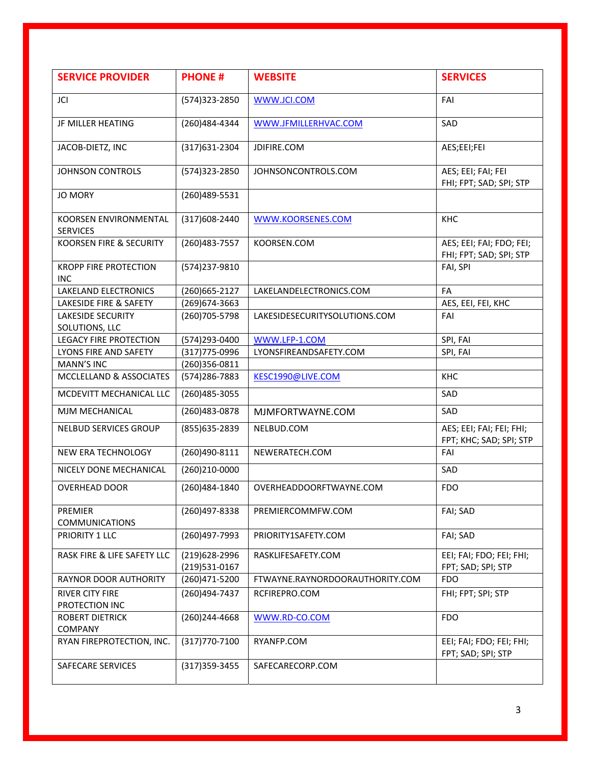| <b>SERVICE PROVIDER</b>                         | <b>PHONE#</b>                  | <b>WEBSITE</b>                  | <b>SERVICES</b>                                     |
|-------------------------------------------------|--------------------------------|---------------------------------|-----------------------------------------------------|
| JCI                                             | (574) 323-2850                 | WWW.JCI.COM                     | FAI                                                 |
| JF MILLER HEATING                               | (260)484-4344                  | WWW.JFMILLERHVAC.COM            | SAD                                                 |
| JACOB-DIETZ, INC                                | (317) 631-2304                 | JDIFIRE.COM                     | AES;EEI;FEI                                         |
| <b>JOHNSON CONTROLS</b>                         | (574)323-2850                  | JOHNSONCONTROLS.COM             | AES; EEI; FAI; FEI<br>FHI; FPT; SAD; SPI; STP       |
| <b>JO MORY</b>                                  | (260)489-5531                  |                                 |                                                     |
| <b>KOORSEN ENVIRONMENTAL</b><br><b>SERVICES</b> | (317) 608-2440                 | WWW.KOORSENES.COM               | KHC                                                 |
| KOORSEN FIRE & SECURITY                         | (260) 483 - 7557               | KOORSEN.COM                     | AES; EEI; FAI; FDO; FEI;<br>FHI; FPT; SAD; SPI; STP |
| <b>KROPP FIRE PROTECTION</b><br><b>INC</b>      | (574)237-9810                  |                                 | FAI, SPI                                            |
| <b>LAKELAND ELECTRONICS</b>                     | (260) 665-2127                 | LAKELANDELECTRONICS.COM         | FA                                                  |
| LAKESIDE FIRE & SAFETY                          | (269) 674-3663                 |                                 | AES, EEI, FEI, KHC                                  |
| <b>LAKESIDE SECURITY</b><br>SOLUTIONS, LLC      | (260) 705-5798                 | LAKESIDESECURITYSOLUTIONS.COM   | FAI                                                 |
| <b>LEGACY FIRE PROTECTION</b>                   | (574)293-0400                  | WWW.LFP-1.COM                   | SPI, FAI                                            |
| LYONS FIRE AND SAFETY                           | (317) 775-0996                 | LYONSFIREANDSAFETY.COM          | SPI, FAI                                            |
| <b>MANN'S INC</b>                               | (260)356-0811                  |                                 |                                                     |
| MCCLELLAND & ASSOCIATES                         | (574) 286-7883                 | KESC1990@LIVE.COM               | KHC                                                 |
| MCDEVITT MECHANICAL LLC                         | (260) 485-3055                 |                                 | SAD                                                 |
| MJM MECHANICAL                                  | (260)483-0878                  | MJMFORTWAYNE.COM                | SAD                                                 |
| NELBUD SERVICES GROUP                           | (855) 635-2839                 | NELBUD.COM                      | AES; EEI; FAI; FEI; FHI;<br>FPT; KHC; SAD; SPI; STP |
| NEW ERA TECHNOLOGY                              | (260)490-8111                  | NEWERATECH.COM                  | FAI                                                 |
| NICELY DONE MECHANICAL                          | (260)210-0000                  |                                 | SAD                                                 |
| <b>OVERHEAD DOOR</b>                            | (260)484-1840                  | OVERHEADDOORFTWAYNE.COM         | <b>FDO</b>                                          |
| <b>PREMIER</b><br><b>COMMUNICATIONS</b>         | (260)497-8338                  | PREMIERCOMMFW.COM               | FAI; SAD                                            |
| PRIORITY 1 LLC                                  | (260)497-7993                  | PRIORITY1SAFETY.COM             | FAI; SAD                                            |
| RASK FIRE & LIFE SAFETY LLC                     | (219)628-2996<br>(219)531-0167 | RASKLIFESAFETY.COM              | EEI; FAI; FDO; FEI; FHI;<br>FPT; SAD; SPI; STP      |
| RAYNOR DOOR AUTHORITY                           | (260)471-5200                  | FTWAYNE.RAYNORDOORAUTHORITY.COM | <b>FDO</b>                                          |
| <b>RIVER CITY FIRE</b><br>PROTECTION INC        | (260)494-7437                  | RCFIREPRO.COM                   | FHI; FPT; SPI; STP                                  |
| <b>ROBERT DIETRICK</b><br><b>COMPANY</b>        | (260)244-4668                  | WWW.RD-CO.COM                   | <b>FDO</b>                                          |
| RYAN FIREPROTECTION, INC.                       | (317) 770-7100                 | RYANFP.COM                      | EEI; FAI; FDO; FEI; FHI;<br>FPT; SAD; SPI; STP      |
| SAFECARE SERVICES                               | $(317)359-3455$                | SAFECARECORP.COM                |                                                     |